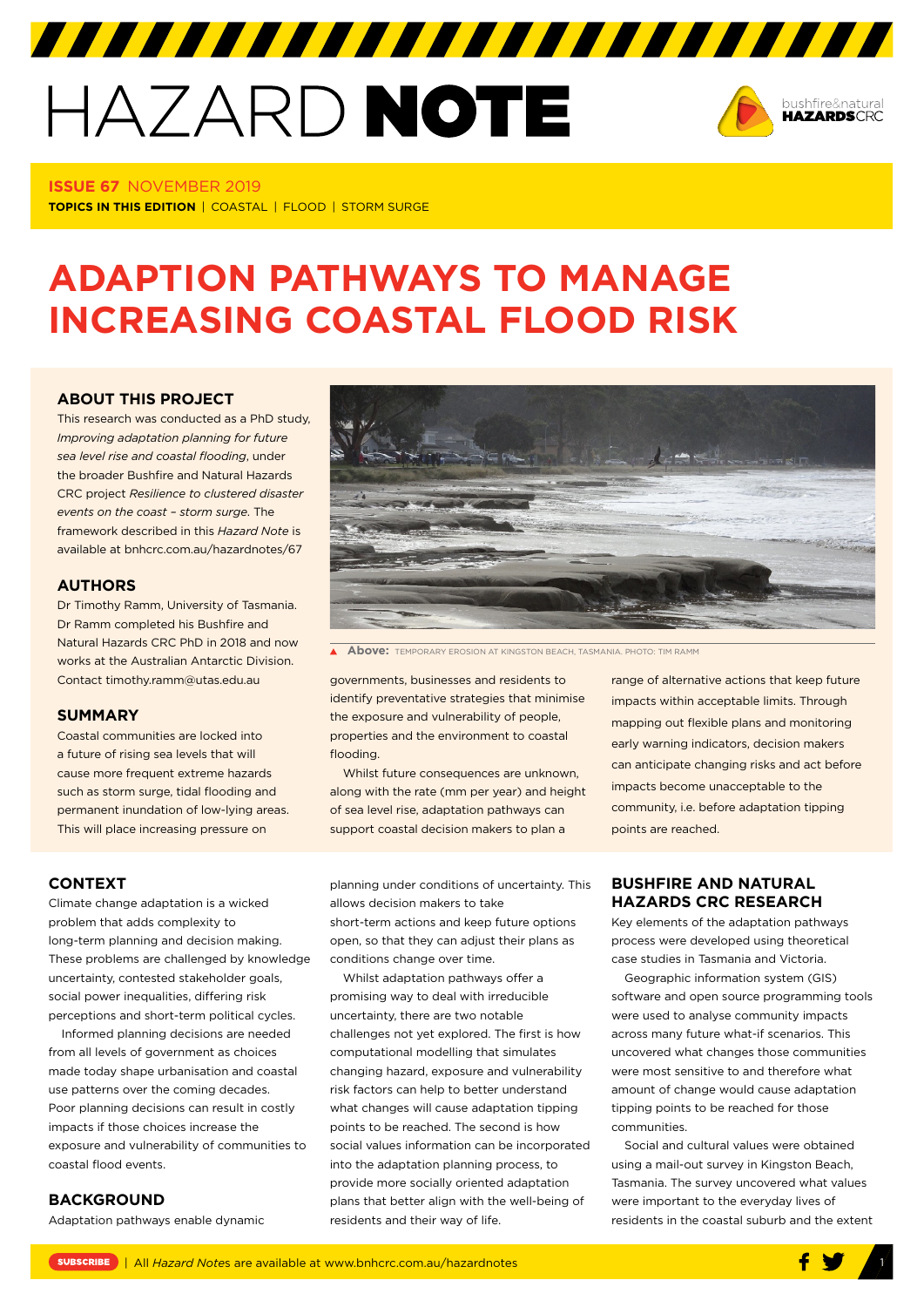# HAZARD NOTE



#### **ISSUE 67** NOVEMBER 2019

**TOPICS IN THIS EDITION** | COASTAL | FLOOD | STORM SURGE

## **ADAPTION PATHWAYS TO MANAGE INCREASING COASTAL FLOOD RISK**

#### **[ABOUT THIS PROJECT](http://www.bnhcrc.com.au/hazardnotes/67)**

This research was conducted as a PhD study, *Improving adaptation planning for future sea level rise and coastal flooding*, under the broader Bushfire and Natural Hazards CRC project *Resilience to clustered disaster events on the coast – storm surge*. The framework described in this *Hazard Note* is available at [bnhcrc.com.au/hazardnotes/67](http://www.bnhcrc.com.au/hazardnotes/67)

#### **AUTHORS**

Dr Timothy Ramm, University of Tasmania. Dr Ramm completed his Bushfire and Natural Hazards CRC PhD in 2018 and now works at the Australian Antarctic Division. Contact timothy.ramm@utas.edu.au

#### **SUMMARY**

Coastal communities are locked into a future of rising sea levels that will cause more frequent extreme hazards such as storm surge, tidal flooding and permanent inundation of low-lying areas. This will place increasing pressure on



**Above:** TEMPORARY EROSION AT KINGSTON BEACH, TASMANIA. PHOTO: TIM RAMM

governments, businesses and residents to identify preventative strategies that minimise the exposure and vulnerability of people, properties and the environment to coastal flooding.

Whilst future consequences are unknown, along with the rate (mm per year) and height of sea level rise, adaptation pathways can support coastal decision makers to plan a

planning under conditions of uncertainty. This allows decision makers to take short-term actions and keep future options open, so that they can adjust their plans as conditions change over time.

Whilst adaptation pathways offer a promising way to deal with irreducible uncertainty, there are two notable challenges not yet explored. The first is how computational modelling that simulates changing hazard, exposure and vulnerability risk factors can help to better understand what changes will cause adaptation tipping points to be reached. The second is how social values information can be incorporated into the adaptation planning process, to provide more socially oriented adaptation plans that better align with the well-being of residents and their way of life.

#### mapping out flexible plans and monitoring early warning indicators, decision makers can anticipate changing risks and act before impacts become unacceptable to the community, i.e. before adaptation tipping points are reached.

range of alternative actions that keep future impacts within acceptable limits. Through

**BUSHFIRE AND NATURAL HAZARDS CRC RESEARCH** Key elements of the adaptation pathways process were developed using theoretical case studies in Tasmania and Victoria. Geographic information system (GIS) software and open source programming tools were used to analyse community impacts across many future what-if scenarios. This uncovered what changes those communities were most sensitive to and therefore what

#### **CONTEXT**

Climate change adaptation is a wicked problem that adds complexity to long-term planning and decision making. These problems are challenged by knowledge uncertainty, contested stakeholder goals, social power inequalities, differing risk perceptions and short-term political cycles.

Informed planning decisions are needed from all levels of government as choices made today shape urbanisation and coastal use patterns over the coming decades. Poor planning decisions can result in costly impacts if those choices increase the exposure and vulnerability of communities to coastal flood events.

#### **BACKGROUND**

Adaptation pathways enable dynamic

#### **EXIBSCRIBE** | All *Hazard Notes* are available at www.bnhcrc.com.au/hazardnotes 1999 1999 1999 1999 1999 1999 1999

amount of change would cause adaptation tipping points to be reached for those

Social and cultural values were obtained using a mail-out survey in Kingston Beach, Tasmania. The survey uncovered what values were important to the everyday lives of residents in the coastal suburb and the extent

communities.